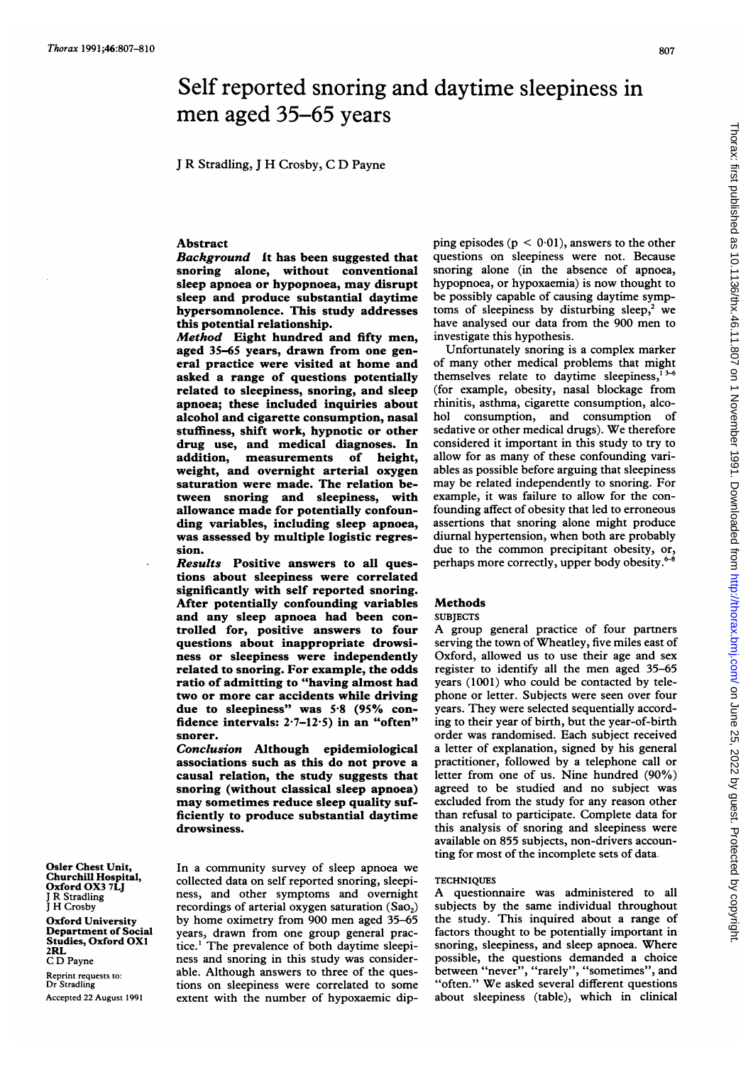# Self reported snoring and daytime sleepiness in men aged 35-65 years

<sup>J</sup> R Stradling, <sup>J</sup> H Crosby, C D Payne

## Abstract

Background It has been suggested that snoring alone, without conventional sleep apnoea or hypopnoea, may disrupt sleep and produce substantial daytime hypersomnolence. This study addresses this potential relationship.

Method Eight hundred and fifty men, aged 35-65 years, drawn from one general practice were visited at home and asked a range of questions potentially related to sleepiness, snoring, and sleep apnoea; these included inquiries about alcohol and cigarette consumption, nasal stuffiness, shift work, hypnotic or other drug use, and medical diagnoses. In addition, measurements of height, weight, and overnight arterial oxygen saturation were made. The relation between snoring and sleepiness, with allowance made for potentially confounding variables, including sleep apnoea, was assessed by multiple logistic regression.

Results Positive answers to all questions about sleepiness were correlated significantly with self reported snoring. After potentially confounding variables and any sleep apnoea had been controlled for, positive answers to four questions about inappropriate drowsiness or sleepiness were independently related to snoring. For example, the odds ratio of admitting to "having almost had two or more car accidents while driving due to sleepiness" was 5.8 (95% confidence intervals: 2-7-12-5) in an "often" snorer.

Conclusion Although epidemiological associations such as this do not prove a causal relation, the study suggests that snoring (without classical sleep apnoea) may sometimes reduce sleep quality sufficiently to produce substantial daytime drowsiness.

Osler Chest Unit, Churchill Hospital, Oxford OX3 7LJ <sup>J</sup> R Stradling <sup>J</sup> H Crosby

Oxford University Department of Social Studies, Oxford OX1 2RL

C D Payne

Reprint requests to: Dr Stradling Accepted 22 August 1991 In a community survey of sleep apnoea we collected data on self reported snoring, sleepiness, and other symptoms and overnight recordings of arterial oxygen saturation  $(Sao<sub>2</sub>)$ by home oximetry from 900 men aged 35-65 years, drawn from one group general practice.' The prevalence of both daytime sleepiness and snoring in this study was considerable. Although answers to three of the questions on sleepiness were correlated to some extent with the number of hypoxaemic dipping episodes ( $p < 0.01$ ), answers to the other questions on sleepiness were not. Because snoring alone (in the absence of apnoea, hypopnoea, or hypoxaemia) is now thought to be possibly capable of causing daytime symptoms of sleepiness by disturbing sleep,<sup>2</sup> we have analysed our data from the 900 men to investigate this hypothesis.

Unfortunately snoring is a complex marker of many other medical problems that might themselves relate to daytime sleepiness, $<sup>1</sup>$ </sup> (for example, obesity, nasal blockage from rhinitis, asthma, cigarette consumption, alcohol consumption, and consumption of sedative or other medical drugs). We therefore considered it important in this study to try to allow for as many of these confounding variables as possible before arguing that sleepiness may be related independently to snoring. For example, it was failure to allow for the confounding affect of obesity that led to erroneous assertions that snoring alone might produce diurnal hypertension, when both are probably due to the common precipitant obesity, or, perhaps more correctly, upper body obesity.<sup>6</sup>

## Methods

#### **SUBJECTS**

A group general practice of four partners serving the town of Wheatley, five miles east of Oxford, allowed us to use their age and sex register to identify all the men aged 35-65 years (1001) who could be contacted by telephone or letter. Subjects were seen over four years. They were selected sequentially according to their year of birth, but the year-of-birth order was randomised. Each subject received a letter of explanation, signed by his general practitioner, followed by a telephone call or letter from one of us. Nine hundred (90%) agreed to be studied and no subject was excluded from the study for any reason other than refusal to participate. Complete data for this analysis of snoring and sleepiness were available on 855 subjects, non-drivers accounting for most of the incomplete sets of data.

## **TECHNIQUES**

A questionnaire was administered to all subjects by the same individual throughout the study. This inquired about a range of factors thought to be potentially important in snoring, sleepiness, and sleep apnoea. Where possible, the questions demanded a choice between "never", "rarely", "sometimes", and "often." We asked several different questions about sleepiness (table), which in clinical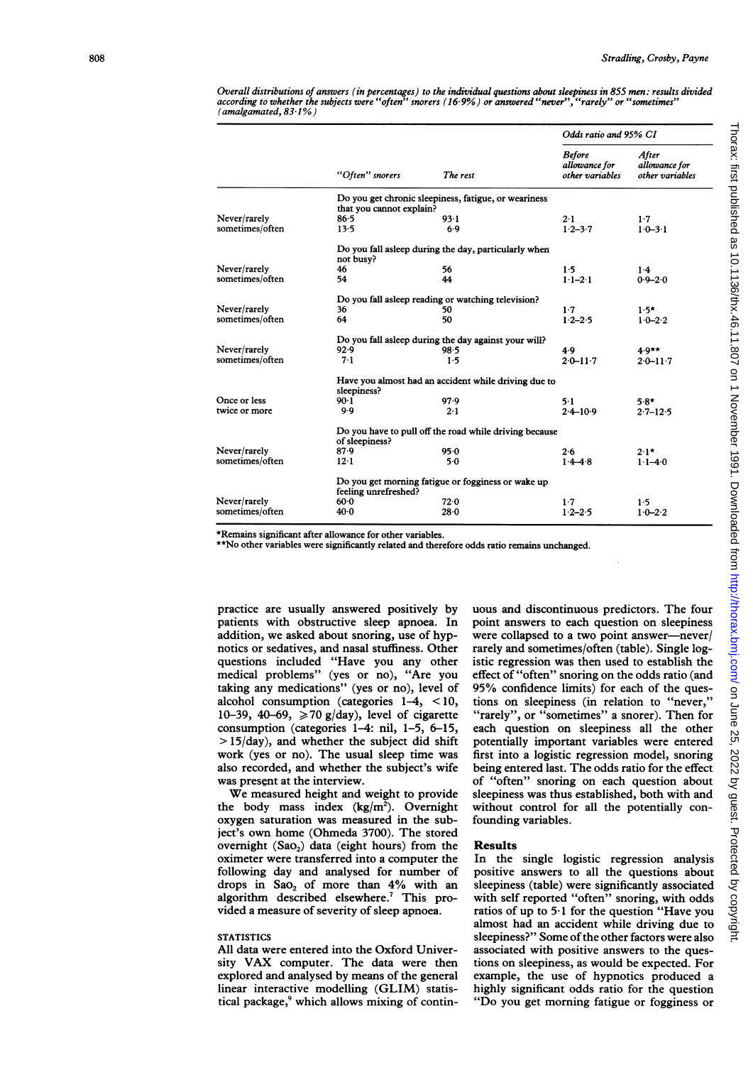Overall distributions of answers (in percentages) to the individual questions about sleepiness in 855 men: results divided according to whether the subjects were "often" snorers (16.9%) or answered "never", "rarely" or "sometimes" (amalgamated, 83-1%)

| After<br>allowance for<br>allowance for<br>other variables<br>other variables<br>1.7<br>$1.0 - 3.1$ |
|-----------------------------------------------------------------------------------------------------|
|                                                                                                     |
|                                                                                                     |
|                                                                                                     |
|                                                                                                     |
|                                                                                                     |
|                                                                                                     |
| $1-4$                                                                                               |
| $0.9 - 2.0$                                                                                         |
|                                                                                                     |
|                                                                                                     |
| $1.5*$                                                                                              |
| $1.0 - 2.2$                                                                                         |
|                                                                                                     |
| $4.9**$                                                                                             |
| $2.0 - 11.7$<br>$2.0 - 11.7$                                                                        |
|                                                                                                     |
| $5.8*$                                                                                              |
| $2.4 - 10.9$<br>$2.7 - 12.5$                                                                        |
|                                                                                                     |
| $2.1*$                                                                                              |
| $1 \cdot 1 - 4 \cdot 0$                                                                             |
|                                                                                                     |
| 1.5                                                                                                 |
| $1.0 - 2.2$                                                                                         |
|                                                                                                     |

\*Remains significant after allowance for other variables.

\*\*No other variables were significantly related and therefore odds ratio remains unchanged.

practice are usually answered positively by patients with obstructive sleep apnoea. In addition, we asked about snoring, use of hypnotics or sedatives, and nasal stuffiness. Other questions included "Have you any other medical problems" (yes or no), "Are you taking any medications" (yes or no), level of alcohol consumption (categories 1-4, < 10, 10-39, 40-69,  $\ge 70$  g/day), level of cigarette consumption (categories 1-4: nil, 1-5, 6-15,  $> 15/day$ ), and whether the subject did shift work (yes or no). The usual sleep time was also recorded, and whether the subject's wife was present at the interview.

We measured height and weight to provide the body mass index  $(kg/m<sup>2</sup>)$ . Overnight oxygen saturation was measured in the subject's own home (Ohmeda 3700). The stored overnight  $(Sao<sub>2</sub>)$  data (eight hours) from the oximeter were transferred into a computer the following day and analysed for number of drops in Sao, of more than  $4\%$  with an algorithm described elsewhere.<sup>7</sup> This provided a measure of severity of sleep apnoea.

## **STATISTICS**

All data were entered into the Oxford University VAX computer. The data were then explored and analysed by means of the general linear interactive modelling (GLIM) statistical package,<sup>9</sup> which allows mixing of continuous and discontinuous predictors. The four point answers to each question on sleepiness were collapsed to a two point answer-never/ rarely and sometimes/often (table). Single logistic regression was then used to establish the effect of "often" snoring on the odds ratio (and 95% confidence limits) for each of the questions on sleepiness (in relation to "never," "rarely", or "sometimes" a snorer). Then for each question on sleepiness all the other potentially important variables were entered first into a logistic regression model, snoring being entered last. The odds ratio for the effect of "often" snoring on each question about sleepiness was thus established, both with and without control for all the potentially confounding variables.

#### Results

In the single logistic regression analysis positive answers to all the questions about sleepiness (table) were significantly associated with self reported "often" snoring, with odds ratios of up to 5-1 for the question "Have you almost had an accident while driving due to sleepiness?" Some of the other factors were also associated with positive answers to the questions on sleepiness, as would be expected. For example, the use of hypnotics produced a highly significant odds ratio for the question "Do you get morning fatigue or fogginess or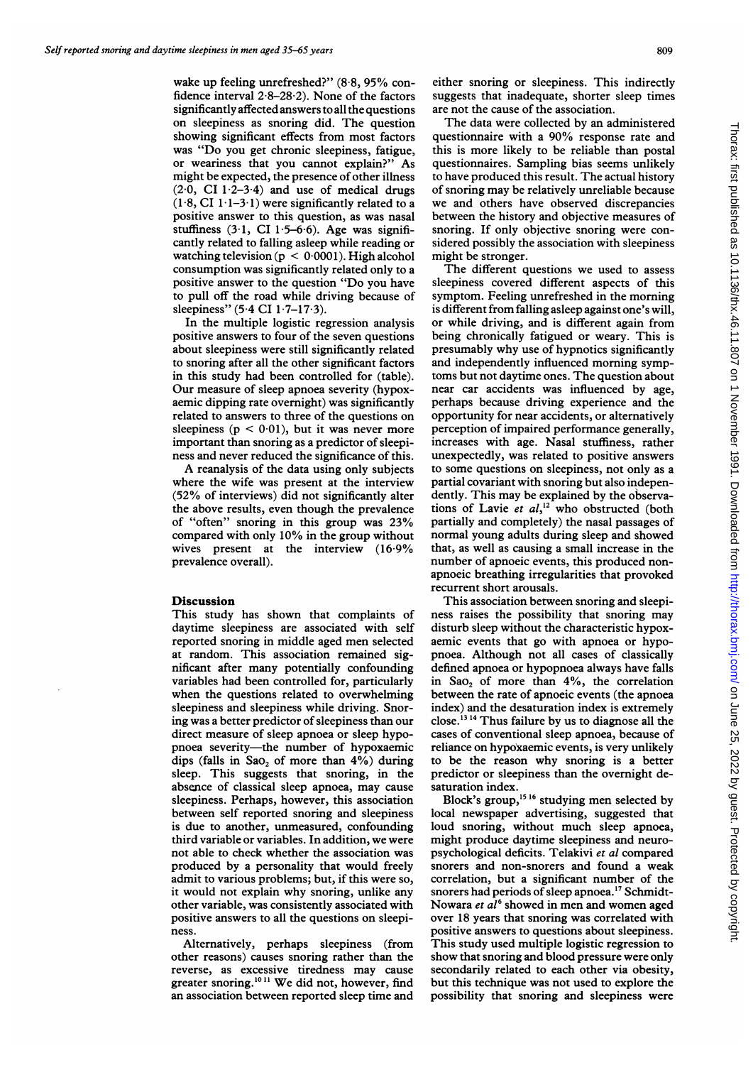wake up feeling unrefreshed?" (8.8, 95% confidence interval  $2.8-28.2$ ). None of the factors significantly affected answers to all the questions on sleepiness as snoring did. The question showing significant effects from most factors was "Do you get chronic sleepiness, fatigue, or weariness that you cannot explain?" As might be expected, the presence of other illness  $(2.0, \text{ CI } 1.2-3.4)$  and use of medical drugs  $(1.8, CI\ 1.1-3.1)$  were significantly related to a positive answer to this question, as was nasal stuffiness  $(3.1, CI 1.5-6.6)$ . Age was significantly related to falling asleep while reading or watching television ( $p < 0.0001$ ). High alcohol consumption was significantly related only to a positive answer to the question "Do you have to pull off the road while driving because of sleepiness" (5.4 CI 1.7–17.3).

In the multiple logistic regression analysis positive answers to four of the seven questions about sleepiness were still significantly related to snoring after all the other significant factors in this study had been controlled for (table). Our measure of sleep apnoea severity (hypoxaemic dipping rate overnight) was significantly related to answers to three of the questions on sleepiness ( $p < 0.01$ ), but it was never more important than snoring as a predictor of sleepiness and never reduced the significance of this.

A reanalysis of the data using only subjects where the wife was present at the interview (52% of interviews) did not significantly alter the above results, even though the prevalence of "often" snoring in this group was 23% compared with only 10% in the group without wives present at the interview (16-9% prevalence overall).

#### Discussion

This study has shown that complaints of daytime sleepiness are associated with self reported snoring in middle aged men selected at random. This association remained significant after many potentially confounding variables had been controlled for, particularly when the questions related to overwhelming sleepiness and sleepiness while driving. Snoring was a better predictor of sleepiness than our direct measure of sleep apnoea or sleep hypopnoea severity-the number of hypoxaemic dips (falls in  $Sao_2$  of more than  $4\%$ ) during sleep. This suggests that snoring, in the absence of classical sleep apnoea, may cause sleepiness. Perhaps, however, this association between self reported snoring and sleepiness is due to another, unmeasured, confounding third variable or variables. In addition, we were not able to check whether the association was produced by a personality that would freely admit to various problems; but, if this were so, it would not explain why snoring, unlike any other variable, was consistently associated with positive answers to all the questions on sleepiness.

Alternatively, perhaps sleepiness (from other reasons) causes snoring rather than the reverse, as excessive tiredness may cause greater snoring.<sup>1011</sup> We did not, however, find an association between reported sleep time and

either snoring or sleepiness. This indirectly suggests that inadequate, shorter sleep times are not the cause of the association.

The data were collected by an administered questionnaire with <sup>a</sup> 90% response rate and this is more likely to be reliable than postal questionnaires. Sampling bias seems unlikely to have produced this result. The actual history of snoring may be relatively unreliable because we and others have observed discrepancies between the history and objective measures of snoring. If only objective snoring were considered possibly the association with sleepiness might be stronger.

The different questions we used to assess sleepiness covered different aspects of this symptom. Feeling unrefreshed in the morning is different from falling asleep against one's will, or while driving, and is different again from being chronically fatigued or weary. This is presumably why use of hypnotics significantly and independently influenced morning symptoms but not daytime ones. The question about near car accidents was influenced by age, perhaps because driving experience and the opportunity for near accidents, or alternatively perception of impaired performance generally, increases with age. Nasal stuffiness, rather unexpectedly, was related to positive answers to some questions on sleepiness, not only as a partial covariant with snoring but also independently. This may be explained by the observations of Lavie et  $al$ ,<sup>12</sup> who obstructed (both partially and completely) the nasal passages of normal young adults during sleep and showed that, as well as causing a small increase in the number of apnoeic events, this produced nonapnoeic breathing irregularities that provoked recurrent short arousals.

This association between snoring and sleepiness raises the possibility that snoring may disturb sleep without the characteristic hypoxaemic events that go with apnoea or hypopnoea. Although not all cases of classically defined apnoea or hypopnoea always have falls in Sao<sub>2</sub> of more than  $4\%$ , the correlation between the rate of apnoeic events (the apnoea index) and the desaturation index is extremely close.<sup>13 14</sup> Thus failure by us to diagnose all the cases of conventional sleep apnoea, because of reliance on hypoxaemic events, is very unlikely to be the reason why snoring is <sup>a</sup> better predictor or sleepiness than the overnight desaturation index.

Block's group,<sup>15 16</sup> studying men selected by local newspaper advertising, suggested that loud snoring, without much sleep apnoea, might produce daytime sleepiness and neuropsychological deficits. Telakivi et al compared snorers and non-snorers and found a weak correlation, but a significant number of the snorers had periods of sleep apnoea.<sup>17</sup> Schmidt-Nowara et al<sup>6</sup> showed in men and women aged over 18 years that snoring was correlated with positive answers to questions about sleepiness. This study used multiple logistic regression to show that snoring and blood pressure were only secondarily related to each other via obesity, but this technique was not used to explore the possibility that snoring and sleepiness were